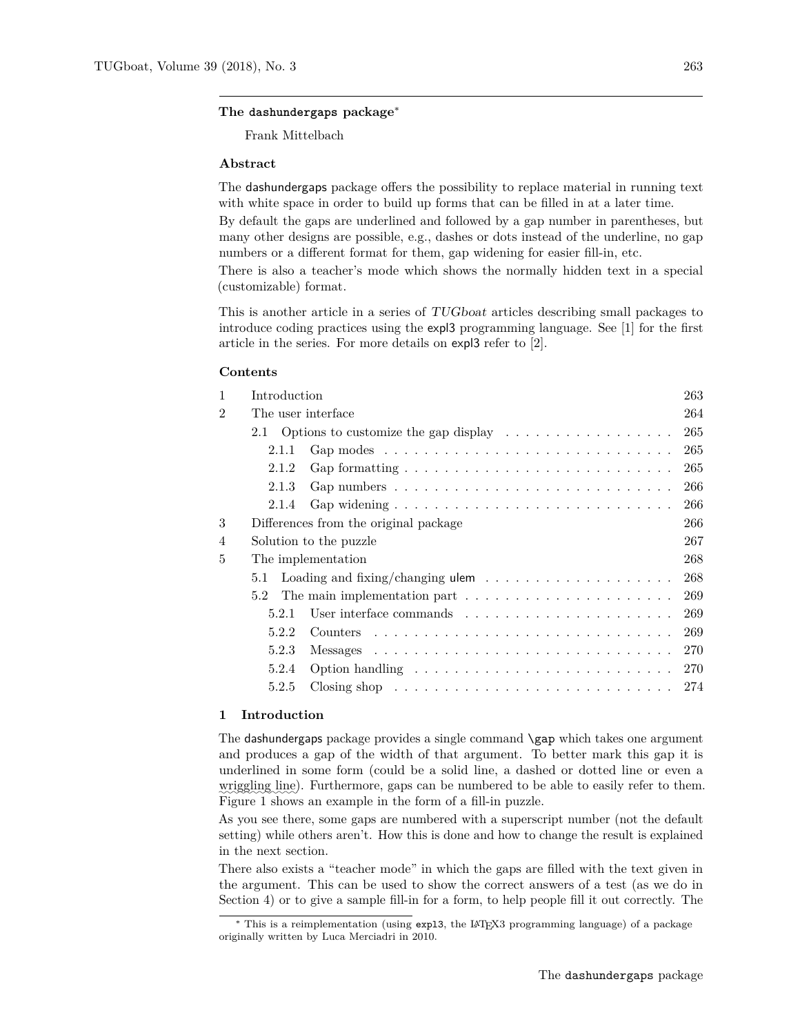Frank Mittelbach

#### **Abstract**

The dashundergaps package offers the possibility to replace material in running text with white space in order to build up forms that can be filled in at a later time.

By default the gaps are underlined and followed by a gap number in parentheses, but many other designs are possible, e.g., dashes or dots instead of the underline, no gap numbers or a different format for them, gap widening for easier fill-in, etc.

There is also a teacher's mode which shows the normally hidden text in a special (customizable) format.

This is another article in a series of TUGboat articles describing small packages to introduce coding practices using the expl3 programming language. See [\[1\]](#page-11-0) for the first article in the series. For more details on expl3 refer to [\[2\]](#page-11-1).

#### **Contents**

| $\mathbf{1}$   | Introduction                                                                                 | 263 |
|----------------|----------------------------------------------------------------------------------------------|-----|
| $\overline{2}$ | The user interface                                                                           | 264 |
|                | 2.1 Options to customize the gap display $\dots \dots \dots \dots \dots$                     | 265 |
|                | Gap modes $\ldots \ldots \ldots \ldots \ldots \ldots \ldots \ldots \ldots \ldots$<br>2.1.1   | 265 |
|                | Gap formatting $\ldots \ldots \ldots \ldots \ldots \ldots \ldots \ldots \ldots$<br>2.1.2     | 265 |
|                | Gap numbers $\ldots \ldots \ldots \ldots \ldots \ldots \ldots \ldots \ldots \ldots$<br>2.1.3 | 266 |
|                | 2.1.4                                                                                        | 266 |
| 3              | Differences from the original package                                                        |     |
| 4              | Solution to the puzzle                                                                       | 267 |
| 5              | The implementation                                                                           | 268 |
|                | Loading and fixing/changing ulem $\dots \dots \dots \dots \dots \dots \dots$<br>5.1          | 268 |
|                | 5.2 The main implementation part $\dots \dots \dots \dots \dots \dots \dots \dots$           | 269 |
|                | 5.2.1                                                                                        | 269 |
|                | 5.2.2                                                                                        | 269 |
|                | 5.2.3                                                                                        | 270 |
|                | Option handling $\dots \dots \dots \dots \dots \dots \dots \dots \dots \dots$<br>5.2.4       | 270 |
|                | Closing shop $\ldots \ldots \ldots \ldots \ldots \ldots \ldots \ldots \ldots$<br>5.2.5       | 274 |
|                |                                                                                              |     |

## <span id="page-0-0"></span>**1 Introduction**

The dashundergaps package provides a single command \gap which takes one argument and produces a gap of the width of that argument. To better mark this gap it is underlined in some form (could be a solid line, a dashed or dotted line or even a wriggling line). Furthermore, gaps can be numbered to be able to easily refer to them. Figure [1](#page-1-1) shows an example in the form of a fill-in puzzle.

As you see there, some gaps are numbered with a superscript number (not the default setting) while others aren't. How this is done and how to change the result is explained in the next section.

There also exists a "teacher mode" in which the gaps are filled with the text given in the argument. This can be used to show the correct answers of a test (as we do in Section [4\)](#page-4-0) or to give a sample fill-in for a form, to help people fill it out correctly. The

<sup>∗</sup> This is a reimplementation (using expl3, the LATEX3 programming language) of a package originally written by Luca Merciadri in 2010.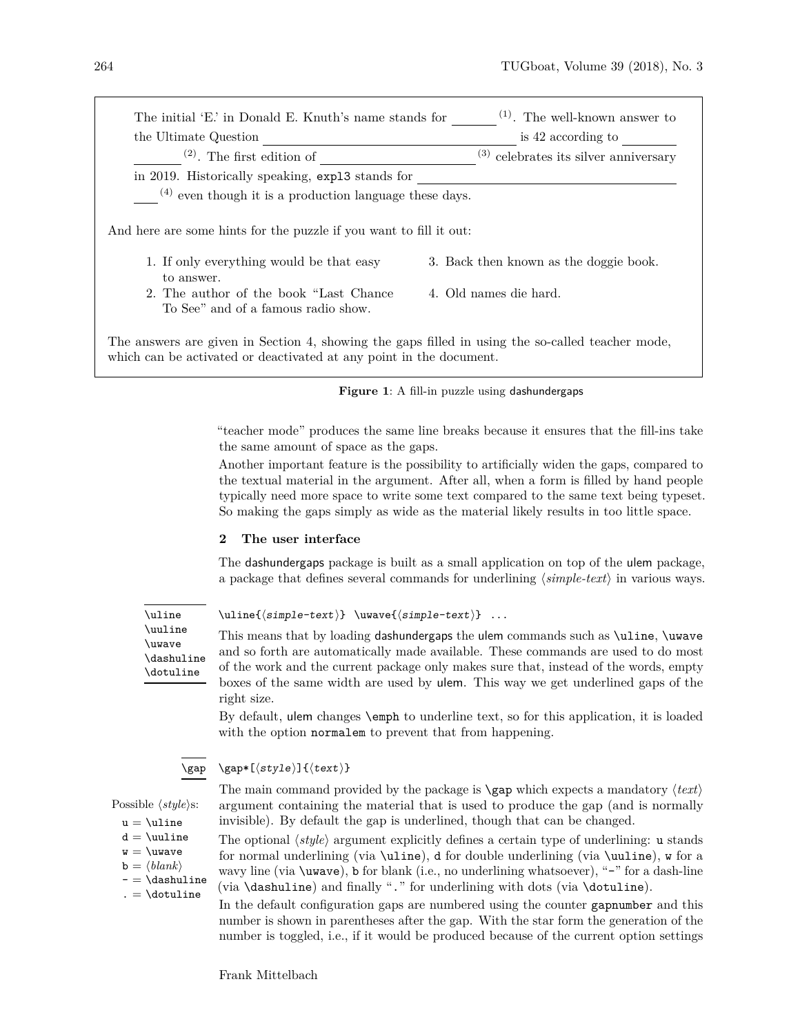| the Ultimate Question                                              | is 42 according to                         |
|--------------------------------------------------------------------|--------------------------------------------|
| $(2)$ . The first edition of                                       | $^{(3)}$ celebrates its silver anniversary |
| in 2019. Historically speaking, exp13 stands for                   |                                            |
| $(4)$ even though it is a production language these days.          |                                            |
| And here are some hints for the puzzle if you want to fill it out: |                                            |
|                                                                    |                                            |
| 1. If only everything would be that easy<br>to answer.             | 3. Back then known as the doggie book.     |

<span id="page-1-1"></span>

"teacher mode" produces the same line breaks because it ensures that the fill-ins take the same amount of space as the gaps.

Another important feature is the possibility to artificially widen the gaps, compared to the textual material in the argument. After all, when a form is filled by hand people typically need more space to write some text compared to the same text being typeset. So making the gaps simply as wide as the material likely results in too little space.

## <span id="page-1-0"></span>**2 The user interface**

The dashundergaps package is built as a small application on top of the ulem package, a package that defines several commands for underlining  $\langle simple\text{-}text\rangle$  in various ways.

<span id="page-1-2"></span>\uline \uuline \uwave \dashuline \dotuline

 $\ulifnextchar[0,1] \label{simm:rel[0,1]} \iota\label{simm:rel[0,1]}\iota\label{simm:rel[0,1]}\iota\label{simm:rel[0,1]}\iota\label{simm:rel[0,1]}\iota\label{simm:rel[0,1]}\iota\label{simm:rel[0,1]}\iota\label{simm:rel[0,1]}\iota\label{simm:rel[0,1]}\iota\label{simm:rel[0,1]}\iota\label{simm:rel[0,1]}\iota\label{simm:rel[0,1]}\iota\label{simm:rel[0,1]}\iota\label{simm:rel[0,1]}\iota$ 

This means that by loading dashundergaps the ulem commands such as \uline, \uwave and so forth are automatically made available. These commands are used to do most of the work and the current package only makes sure that, instead of the words, empty boxes of the same width are used by ulem. This way we get underlined gaps of the right size.

By default, ulem changes \emph to underline text, so for this application, it is loaded with the option normalem to prevent that from happening.

<span id="page-1-3"></span>
$$
\verb|\gap|
$$

 $\qquad$  \gap\*[ $\langle style\rangle$ ]{ $\langle text\rangle$ }

The main command provided by the package is  $\gamma$  which expects a mandatory  $\langle text \rangle$ argument containing the material that is used to produce the gap (and is normally invisible). By default the gap is underlined, though that can be changed.

The optional  $\langle style\rangle$  argument explicitly defines a certain type of underlining: u stands for normal underlining (via \uline), d for double underlining (via \uuline), w for a wavy line (via \uwave), b for blank (i.e., no underlining whatsoever), "-" for a dash-line (via \dashuline) and finally "." for underlining with dots (via \dotuline).

In the default configuration gaps are numbered using the counter gapnumber and this number is shown in parentheses after the gap. With the star form the generation of the number is toggled, i.e., if it would be produced because of the current option settings

Possible  $\langle style\rangle$ s:

- $u = \text{lune}$
- $d = \u$ line  $w = \u{wave}$
- $\mathbf{b} = \langle \mathit{blank} \rangle$

 $- = \dagger$ 

 $. = \dot{\delta}$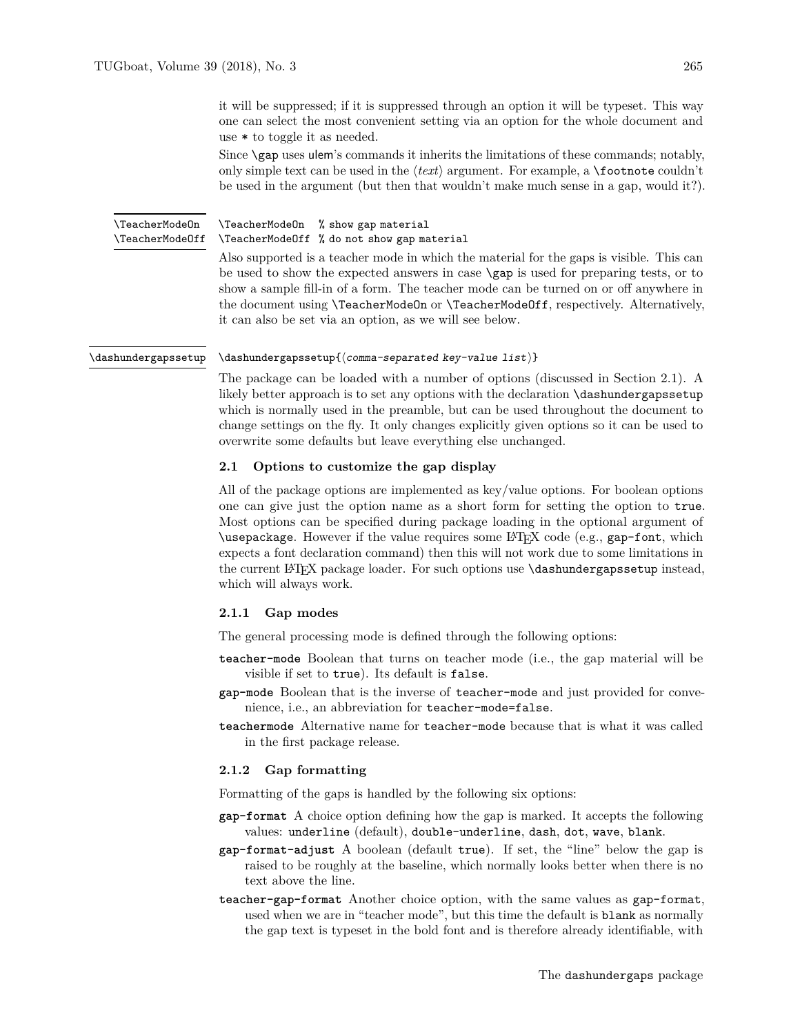it will be suppressed; if it is suppressed through an option it will be typeset. This way one can select the most convenient setting via an option for the whole document and use \* to toggle it as needed.

Since  $\gamma$  uses ulem's commands it inherits the limitations of these commands; notably, only simple text can be used in the  $\langle text \rangle$  argument. For example, a **\footnote** couldn't be used in the argument (but then that wouldn't make much sense in a gap, would it?).

<span id="page-2-4"></span>\TeacherModeOn % show gap material \TeacherModeOff % do not show gap material \TeacherModeOn \TeacherModeOff

Also supported is a teacher mode in which the material for the gaps is visible. This can be used to show the expected answers in case \gap is used for preparing tests, or to show a sample fill-in of a form. The teacher mode can be turned on or off anywhere in the document using \TeacherModeOn or \TeacherModeOff, respectively. Alternatively, it can also be set via an option, as we will see below.

#### <span id="page-2-3"></span> $\dagger$  \dashundergapssetup{ $\langle$  comma-separated key-value list)} \dashundergapssetup

The package can be loaded with a number of options (discussed in Section [2.1\)](#page-2-0). A likely better approach is to set any options with the declaration \dashundergapssetup which is normally used in the preamble, but can be used throughout the document to change settings on the fly. It only changes explicitly given options so it can be used to overwrite some defaults but leave everything else unchanged.

## <span id="page-2-0"></span>**2.1 Options to customize the gap display**

All of the package options are implemented as key/value options. For boolean options one can give just the option name as a short form for setting the option to true. Most options can be specified during package loading in the optional argument of \usepackage. However if the value requires some LATEX code (e.g., gap-font, which expects a font declaration command) then this will not work due to some limitations in the current LATEX package loader. For such options use \dashundergapssetup instead, which will always work.

#### <span id="page-2-1"></span>**2.1.1 Gap modes**

The general processing mode is defined through the following options:

- **teacher-mode** Boolean that turns on teacher mode (i.e., the gap material will be visible if set to true). Its default is false.
- **gap-mode** Boolean that is the inverse of teacher-mode and just provided for convenience, i.e., an abbreviation for teacher-mode=false.
- **teachermode** Alternative name for teacher-mode because that is what it was called in the first package release.

# <span id="page-2-2"></span>**2.1.2 Gap formatting**

Formatting of the gaps is handled by the following six options:

- **gap-format** A choice option defining how the gap is marked. It accepts the following values: underline (default), double-underline, dash, dot, wave, blank.
- **gap-format-adjust** A boolean (default true). If set, the "line" below the gap is raised to be roughly at the baseline, which normally looks better when there is no text above the line.
- **teacher-gap-format** Another choice option, with the same values as gap-format, used when we are in "teacher mode", but this time the default is blank as normally the gap text is typeset in the bold font and is therefore already identifiable, with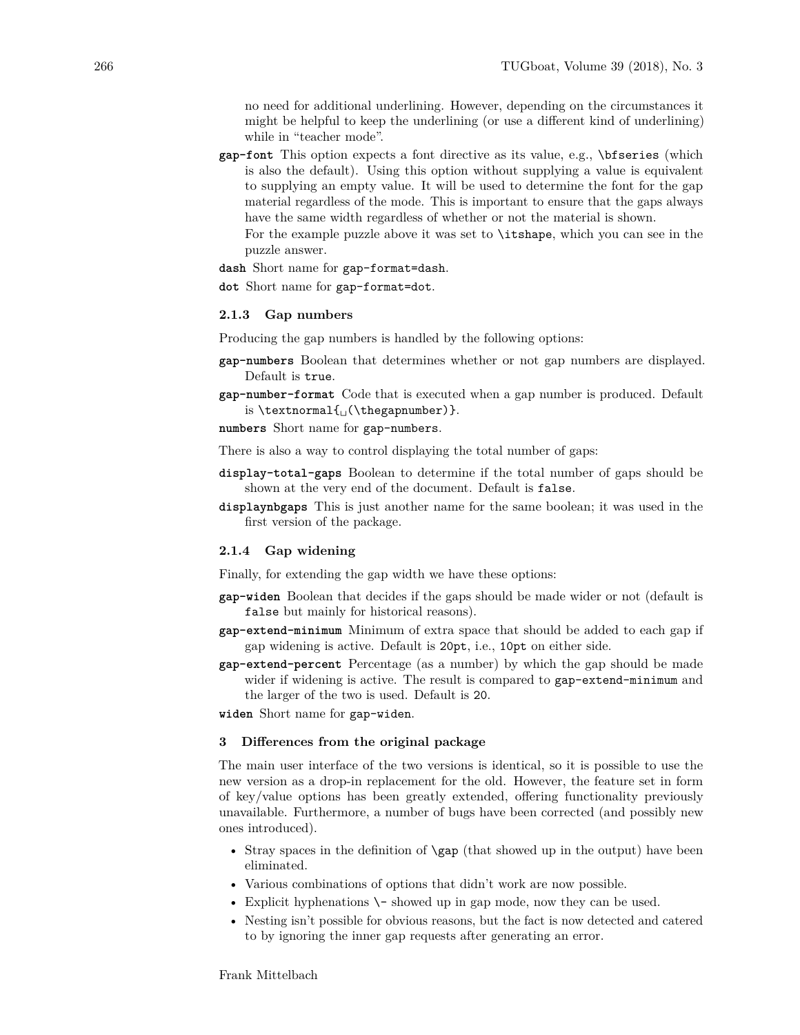no need for additional underlining. However, depending on the circumstances it might be helpful to keep the underlining (or use a different kind of underlining) while in "teacher mode".

**gap-font** This option expects a font directive as its value, e.g., \bfseries (which is also the default). Using this option without supplying a value is equivalent to supplying an empty value. It will be used to determine the font for the gap material regardless of the mode. This is important to ensure that the gaps always have the same width regardless of whether or not the material is shown.

For the example puzzle above it was set to \itshape, which you can see in the puzzle answer.

**dash** Short name for gap-format=dash.

**dot** Short name for gap-format=dot.

# <span id="page-3-0"></span>**2.1.3 Gap numbers**

Producing the gap numbers is handled by the following options:

- **gap-numbers** Boolean that determines whether or not gap numbers are displayed. Default is true.
- **gap-number-format** Code that is executed when a gap number is produced. Default is \textnormal{␣(\thegapnumber)}.
- **numbers** Short name for gap-numbers.

There is also a way to control displaying the total number of gaps:

- **display-total-gaps** Boolean to determine if the total number of gaps should be shown at the very end of the document. Default is false.
- **displaynbgaps** This is just another name for the same boolean; it was used in the first version of the package.

#### <span id="page-3-1"></span>**2.1.4 Gap widening**

Finally, for extending the gap width we have these options:

- **gap-widen** Boolean that decides if the gaps should be made wider or not (default is false but mainly for historical reasons).
- **gap-extend-minimum** Minimum of extra space that should be added to each gap if gap widening is active. Default is 20pt, i.e., 10pt on either side.
- **gap-extend-percent** Percentage (as a number) by which the gap should be made wider if widening is active. The result is compared to gap-extend-minimum and the larger of the two is used. Default is 20.

**widen** Short name for gap-widen.

## <span id="page-3-2"></span>**3 Differences from the original package**

The main user interface of the two versions is identical, so it is possible to use the new version as a drop-in replacement for the old. However, the feature set in form of key/value options has been greatly extended, offering functionality previously unavailable. Furthermore, a number of bugs have been corrected (and possibly new ones introduced).

- Stray spaces in the definition of **\gap** (that showed up in the output) have been eliminated.
- Various combinations of options that didn't work are now possible.
- Explicit hyphenations  $\setminus$  showed up in gap mode, now they can be used.
- Nesting isn't possible for obvious reasons, but the fact is now detected and catered to by ignoring the inner gap requests after generating an error.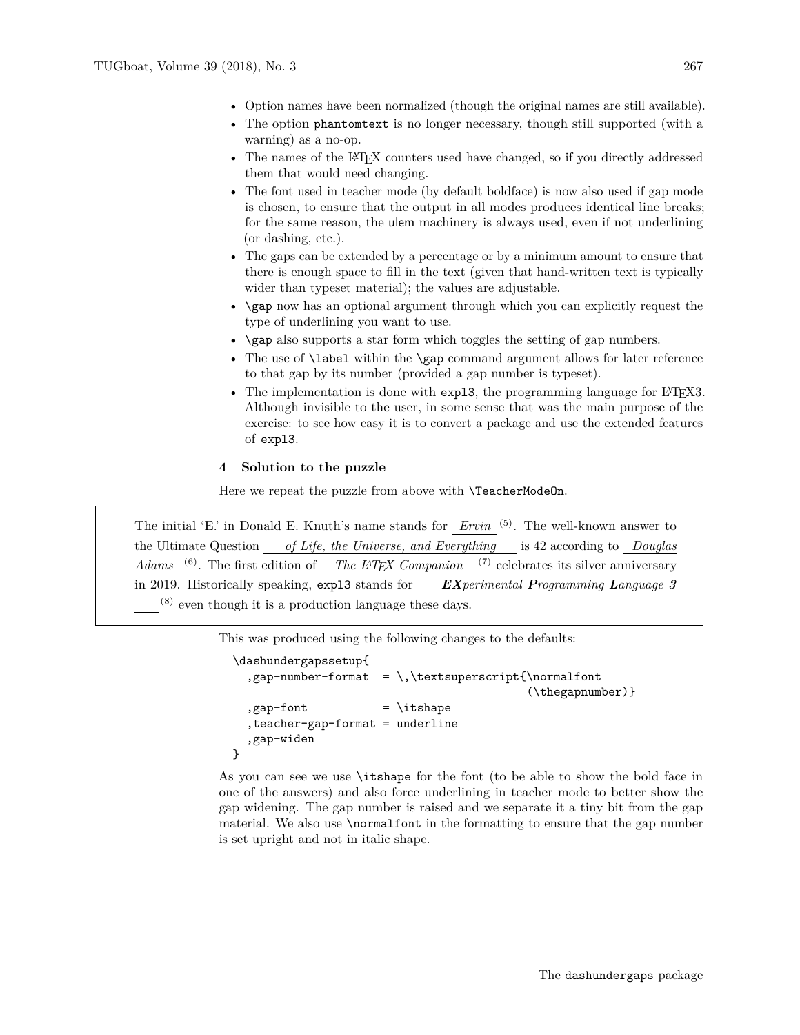- Option names have been normalized (though the original names are still available).
- The option phantomtext is no longer necessary, though still supported (with a warning) as a no-op.
- The names of the LATEX counters used have changed, so if you directly addressed them that would need changing.
- The font used in teacher mode (by default boldface) is now also used if gap mode is chosen, to ensure that the output in all modes produces identical line breaks; for the same reason, the ulem machinery is always used, even if not underlining (or dashing, etc.).
- The gaps can be extended by a percentage or by a minimum amount to ensure that there is enough space to fill in the text (given that hand-written text is typically wider than typeset material); the values are adjustable.
- \gap now has an optional argument through which you can explicitly request the type of underlining you want to use.
- \gap also supports a star form which toggles the setting of gap numbers.
- The use of **\label** within the **\gap** command argument allows for later reference to that gap by its number (provided a gap number is typeset).
- The implementation is done with expl3, the programming language for L<sup>AT</sup>EX3. Although invisible to the user, in some sense that was the main purpose of the exercise: to see how easy it is to convert a package and use the extended features of expl3.

## <span id="page-4-0"></span>**4 Solution to the puzzle**

Here we repeat the puzzle from above with **\TeacherModeOn**.

The initial 'E.' in Donald E. Knuth's name stands for *Ervin* <sup>(5)</sup>. The well-known answer to the Ultimate Question *of Life, the Universe, and Everything* is 42 according to *Douglas Adams* <sup>(6)</sup>. The first edition of *The LATEX Companion* <sup>(7)</sup> celebrates its silver anniversary in 2019. Historically speaking, expl3 stands for *EXperimental Programming Language 3* (8) even though it is a production language these days.

This was produced using the following changes to the defaults:

```
\dashundergapssetup{
  ,gap-number-format = \,\textsuperscript{\normalfont
                                          (\thegapnumber)}
  , gap-font = \itshape
  ,teacher-gap-format = underline
  ,gap-widen
}
```
As you can see we use \itshape for the font (to be able to show the bold face in one of the answers) and also force underlining in teacher mode to better show the gap widening. The gap number is raised and we separate it a tiny bit from the gap material. We also use \normalfont in the formatting to ensure that the gap number is set upright and not in italic shape.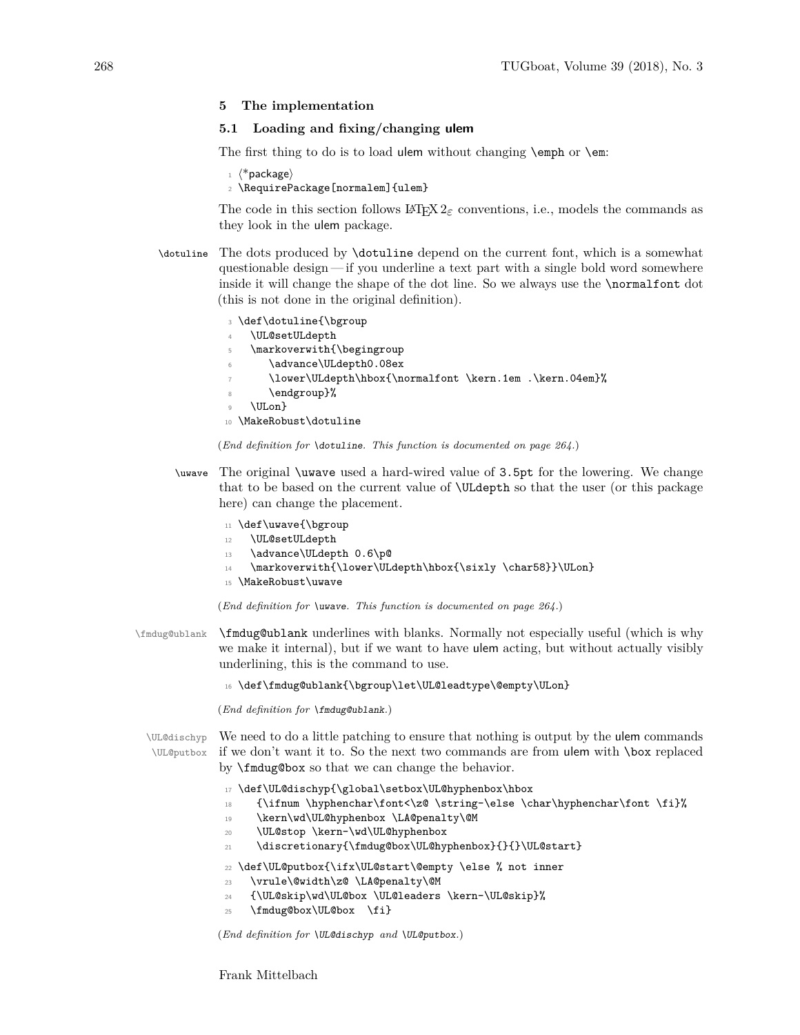## <span id="page-5-0"></span>**5 The implementation**

# <span id="page-5-1"></span>**5.1 Loading and fixing/changing ulem**

The first thing to do is to load ulem without changing  $\epsilon$  or  $\epsilon$ .

 $1 \langle$ \*package $\rangle$ 

```
2 \RequirePackage[normalem]{ulem}
```
The code in this section follows  $\mathbb{F} \mathbb{F} \times \mathbb{F}^2$  conventions, i.e., models the commands as they look in the ulem package.

- [\dotuline](#page-1-2) The dots produced by \dotuline depend on the current font, which is a somewhat questionable design — if you underline a text part with a single bold word somewhere inside it will change the shape of the dot line. So we always use the \normalfont dot (this is not done in the original definition).
	- <sup>3</sup> \def\dotuline{\bgroup \UL@setULdepth <sup>5</sup> \markoverwith{\begingroup \advance\ULdepth0.08ex <sup>7</sup> \lower\ULdepth\hbox{\normalfont \kern.1em .\kern.04em}% \endgroup}% <sup>9</sup> \ULon} <sup>10</sup> \MakeRobust\dotuline

```
(End definition for \dotuline. This function is documented on page 264.)
```
[\uwave](#page-1-2) The original \uwave used a hard-wired value of 3.5pt for the lowering. We change that to be based on the current value of \ULdepth so that the user (or this package here) can change the placement.

```
11 \def\uwave{\bgroup
```
- 12 **\UL@setULdepth**
- 13 \advance\ULdepth 0.6\p@
- 14 \markoverwith{\lower\ULdepth\hbox{\sixly \char58}}\ULon}
- <sup>15</sup> \MakeRobust\uwave

(*End definition for* \uwave*. This function is documented on page [264.](#page-1-2)*)

\fmdug@ublank \fmdug@ublank underlines with blanks. Normally not especially useful (which is why we make it internal), but if we want to have ulem acting, but without actually visibly underlining, this is the command to use.

16 \def\fmdug@ublank{\bgroup\let\UL@leadtype\@empty\ULon}

(*End definition for* \fmdug@ublank*.*)

\UL@putbox

\UL@dischyp We need to do a little patching to ensure that nothing is output by the ulem commands if we don't want it to. So the next two commands are from ulem with \box replaced by \fmdug@box so that we can change the behavior.

- <sup>17</sup> \def\UL@dischyp{\global\setbox\UL@hyphenbox\hbox
- 18 {\ifnum \hyphenchar\font<\z@ \string-\else \char\hyphenchar\font \fi}%
- 19 \kern\wd\UL@hyphenbox \LA@penalty\@M
- 20 \UL@stop \kern-\wd\UL@hyphenbox
- <sup>21</sup> \discretionary{\fmdug@box\UL@hyphenbox}{}{}\UL@start}

<sup>22</sup> \def\UL@putbox{\ifx\UL@start\@empty \else % not inner

- <sup>23</sup> \vrule\@width\z@ \LA@penalty\@M
- <sup>24</sup> {\UL@skip\wd\UL@box \UL@leaders \kern-\UL@skip}%
- 25 \fmdug@box\UL@box \fi}

(*End definition for* \UL@dischyp *and* \UL@putbox*.*)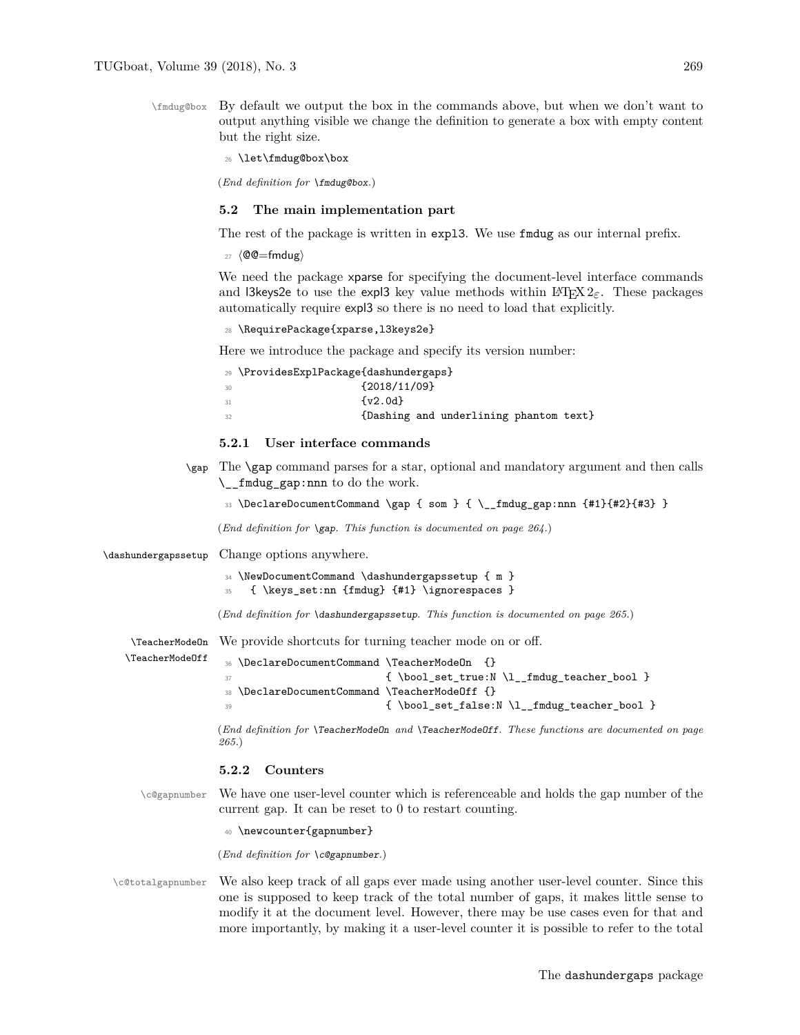\fmdug@box By default we output the box in the commands above, but when we don't want to output anything visible we change the definition to generate a box with empty content but the right size.

<sup>26</sup> \let\fmdug@box\box

(*End definition for* \fmdug@box*.*)

## <span id="page-6-0"></span>**5.2 The main implementation part**

The rest of the package is written in expl3. We use fmdug as our internal prefix.

 $27$  (@@=fmdug)

We need the package xparse for specifying the document-level interface commands and l3keys2e to use the expl3 key value methods within  $\mathbb{F}(\mathbb{F}X)$  are paralleless paralleless paralleless paralleless paralleless paralleless paralleless paralleless paralleless paralleless paralleless paralleless p automatically require expl3 so there is no need to load that explicitly.

<sup>28</sup> \RequirePackage{xparse,l3keys2e}

Here we introduce the package and specify its version number:

|    | 29 \ProvidesExplPackage{dashundergaps} |
|----|----------------------------------------|
| 30 | ${12018/11/09}$                        |
| 31 | $\{v2.0d\}$                            |
| 32 | {Dashing and underlining phantom text} |

#### <span id="page-6-1"></span>**5.2.1 User interface commands**

[\gap](#page-1-3) The \gap command parses for a star, optional and mandatory argument and then calls \\_\_fmdug\_gap:nnn to do the work.

<sup>33</sup> \DeclareDocumentCommand \gap { som } { \\_\_fmdug\_gap:nnn {#1}{#2}{#3} }

(*End definition for* \gap*. This function is documented on page [264.](#page-1-3)*)

[\dashundergapssetup](#page-2-3) Change options anywhere.

 $\text{Tr}_\text{Achar}$ 

```
34 \NewDocumentCommand \dashundergapssetup { m }
```

```
35 { \keys_set:nn {fmdug} {#1} \ignorespaces }
```
(*End definition for* \dashundergapssetup*. This function is documented on page [265.](#page-2-3)*)

[\TeacherModeOn](#page-2-4) We provide shortcuts for turning teacher mode on or off.

| {\bool_set_true:N\l__fmdug_teacher_bool } |
|-------------------------------------------|
|                                           |
|                                           |
|                                           |

(*End definition for* \TeacherModeOn *and* \TeacherModeOff*. These functions are documented on page [265.](#page-2-4)*)

#### <span id="page-6-2"></span>**5.2.2 Counters**

\c@gapnumber We have one user-level counter which is referenceable and holds the gap number of the current gap. It can be reset to 0 to restart counting.

<sup>40</sup> \newcounter{gapnumber}

(*End definition for* \c@gapnumber*.*)

\c@totalgapnumber We also keep track of all gaps ever made using another user-level counter. Since this one is supposed to keep track of the total number of gaps, it makes little sense to modify it at the document level. However, there may be use cases even for that and more importantly, by making it a user-level counter it is possible to refer to the total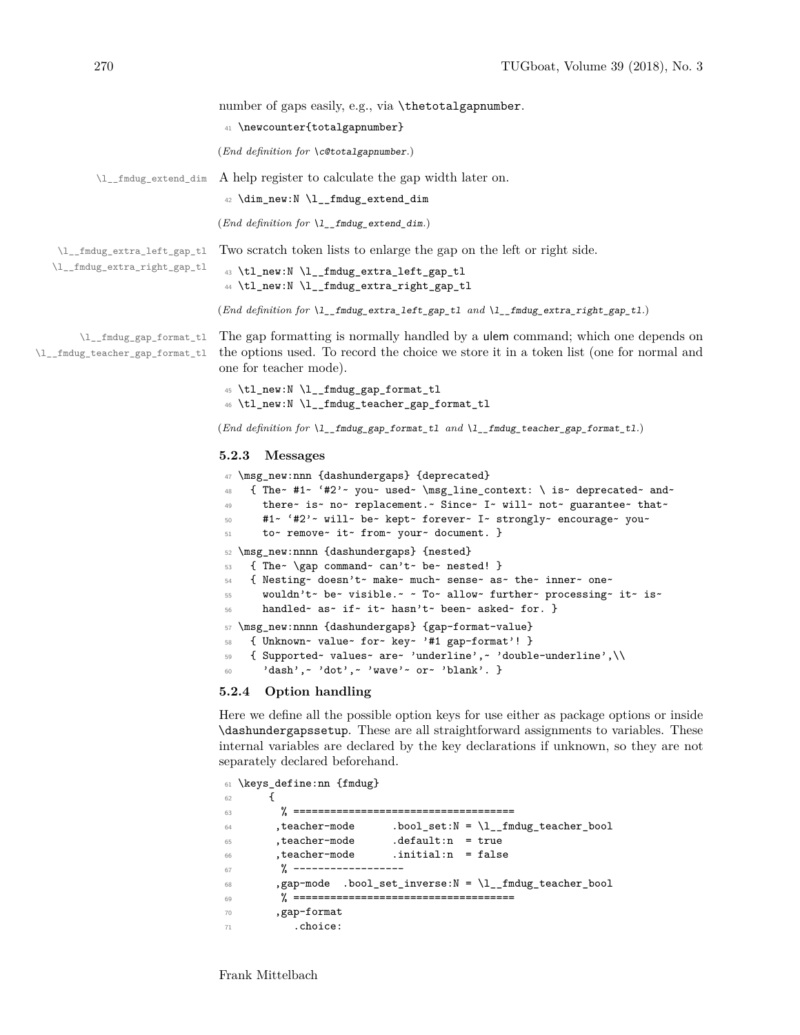|                                                            | number of gaps easily, e.g., via \thetotalgapnumber.                                                                                                                                                      |
|------------------------------------------------------------|-----------------------------------------------------------------------------------------------------------------------------------------------------------------------------------------------------------|
|                                                            | 41 \newcounter{totalgapnumber}                                                                                                                                                                            |
|                                                            | $(End\ definition\ for\ \cot (Cototal{gapnumber.})$                                                                                                                                                       |
|                                                            | \l__fmdug_extend_dim A help register to calculate the gap width later on.                                                                                                                                 |
|                                                            | 42 \dim_new:N \l__fmdug_extend_dim                                                                                                                                                                        |
|                                                            | ( <i>End definition for</i> $\lceil \cdot \rfloor$ <i>fmdug</i> extend dim.)                                                                                                                              |
| \l__fmdug_extra_left_gap_tl                                | Two scratch token lists to enlarge the gap on the left or right side.                                                                                                                                     |
| \l__fmdug_extra_right_gap_tl                               | 43 \tl_new:N \l__fmdug_extra_left_gap_tl<br>44 \tl_new:N \l__fmdug_extra_right_gap_tl                                                                                                                     |
|                                                            | (End definition for $l_{\text{r}}$ finding extra left gap tl and $l_{\text{r}}$ finding extra right gap tl.)                                                                                              |
| \l__fmdug_gap_format_tl<br>\l__fmdug_teacher_gap_format_tl | The gap formatting is normally handled by a <b>ulem</b> command; which one depends on<br>the options used. To record the choice we store it in a token list (one for normal and<br>one for teacher mode). |
|                                                            | 45 \tl_new:N \l__fmdug_gap_format_tl<br>46 \tl_new:N \l__fmdug_teacher_gap_format_tl                                                                                                                      |
|                                                            | (End definition for $l_{\text{1}}$ finding gap format tl and $l_{\text{2}}$ finding teacher gap format tl.)                                                                                               |
|                                                            | 5.2.3<br><b>Messages</b>                                                                                                                                                                                  |
|                                                            |                                                                                                                                                                                                           |

```
47 \msg_new:nnn {dashundergaps} {deprecated}
48 { The~ #1~ '#2'~ you~ used~ \msg_line_context: \ is~ deprecated~ and~
49 there~ is~ no~ replacement.~ Since~ I~ will~ not~ guarantee~ that~
50 #1~ '#2'~ will~ be~ kept~ forever~ I~ strongly~ encourage~ you~
51 to~ remove~ it~ from~ your~ document. }
52 \msg_new:nnnn {dashundergaps} {nested}
53 { The~ \gap command~ can't~ be~ nested! }
54 { Nesting~ doesn't~ make~ much~ sense~ as~ the~ inner~ one~
55 wouldn't~ be~ visible.~ ~ To~ allow~ further~ processing~ it~ is~
56 handled~ as~ if~ it~ hasn't~ been~ asked~ for. }
57 \msg_new:nnnn {dashundergaps} {gap-format-value}
58 { Unknown~ value~ for~ key~ '#1 gap-format'! }
59 { Supported~ values~ are~ 'underline',~ 'double-underline',\\
60 'dash',~ 'dot',~ 'wave'~ or~ 'blank'. }
```
# <span id="page-7-1"></span>**5.2.4 Option handling**

Here we define all the possible option keys for use either as package options or inside \dashundergapssetup. These are all straightforward assignments to variables. These internal variables are declared by the key declarations if unknown, so they are not separately declared beforehand.

```
61 \keys_define:nn {fmdug}
62 \qquad \qquad63 % ====================================
\begin{array}{rcl} 64 & , \mathtt{teacher-mode} & . \mathtt{bool\_set} : \mathbb{N} = \backslash \mathbb{1}\_ \mathtt{fmdug\_teacher\_bool} \end{array}65 ,teacher-mode .default:n = true
66 ,teacher-mode .initial:n = false
67 % ------------------
68 ,gap-mode .bool_set_inverse:N = \l__fmdug_teacher_bool
69 % ====================================
70 ,gap-format
71 .choice:
```
Frank Mittelbach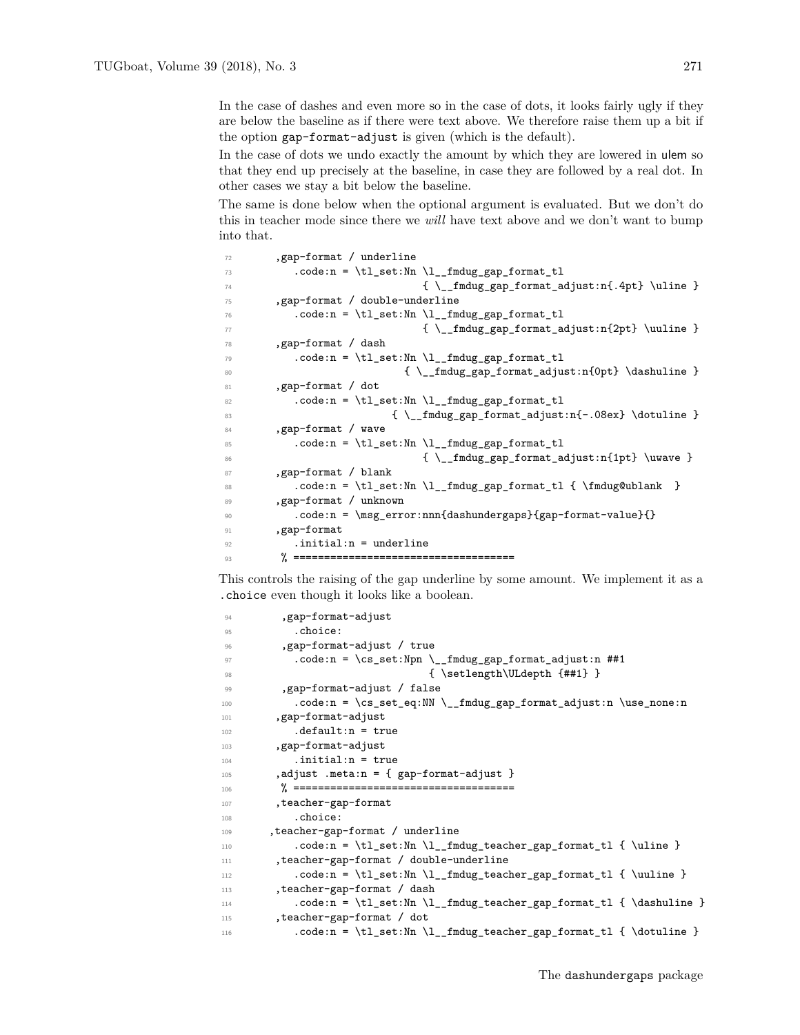In the case of dashes and even more so in the case of dots, it looks fairly ugly if they are below the baseline as if there were text above. We therefore raise them up a bit if the option gap-format-adjust is given (which is the default).

In the case of dots we undo exactly the amount by which they are lowered in ulem so that they end up precisely at the baseline, in case they are followed by a real dot. In other cases we stay a bit below the baseline.

The same is done below when the optional argument is evaluated. But we don't do this in teacher mode since there we *will* have text above and we don't want to bump into that.

```
72 ,gap-format / underline
73 .code:n = \tl_set:Nn \l__fmdug_gap_format_tl
\{\ \}_{\text{andug\_gap\_format\_adjust:}14.4pt} \75 ,gap-format / double-underline
76 .code:n = \tl_set:Nn \l__fmdug_gap_format_tl
\{ \ \_{\_fmdug\_gap\_format\_adjust:n{2pt} \ \} \ \}78 ,gap-format / dash
79 .code:n = \tl_set:Nn \l__fmdug_gap_format_tl
80 { \__fmdug_gap_format_adjust:n{0pt} \dashuline }
81 , gap-format / dot
{\scriptstyle \texttt{82}} \quad \texttt{.code:n = \tl{}_set:\mathtt{M \l}_fmdug\_gap_format\_tl}83 \{\ \_{fmdug\_gap\_format\_adjust:n\{-.08ex\ } \dot\}84 ,gap-format / wave
85 .code:n = \tl_set:Nn \l__fmdug_gap_format_tl
86 { \__fmdug_gap_format_adjust:n{1pt} \uwave }
87 , gap-format / blank
88 .code:n = \tl_set:Nn \l__fmdug_gap_format_tl { \fmdug@ublank }
89 ,gap-format / unknown
90 .code:n = \msg_error:nnn{dashundergaps}{gap-format-value}{}
91 , gap-format
92 .initial:n = underline
93 % ====================================
```
This controls the raising of the gap underline by some amount. We implement it as a .choice even though it looks like a boolean.

```
94 , gap-format-adjust
95 .choice:
96 ,gap-format-adjust / true
97 .code:n = \cs set:Npn \ fmdug gap format adjust:n ##1
98 \{ \setminus \mathsf{Setlength}\backslash\mathsf{ULdepth} \ \{ \#1 \} \ \}99 ,gap-format-adjust / false
100 .code:n = \cs_set_eq:NN \__fmdug_gap_format_adjust:n \use_none:n
101 , gap-format-adjust
102 . default:n = true
103 , gap-format-adjust
104 .initial:n = true
105 , adjust .meta:n = \{ gap-format-adjust \}106 % ====================================
107 , teacher-gap-format
108 .choice:
109 ,teacher-gap-format / underline
110 .code:n = \tl_set:Nn \l__fmdug_teacher_gap_format_tl { \uline }
111 ,teacher-gap-format / double-underline
112 .code:n = \tl_set:Nn \l__fmdug_teacher_gap_format_tl { \uuline }
113 ,teacher-gap-format / dash
114 .code:n = \tl_set:Nn \l__fmdug_teacher_gap_format_tl { \dashuline }
115 , teacher-gap-format / dot
116 .code:n = \tl_set:Nn \l__fmdug_teacher_gap_format_tl { \dotuline }
```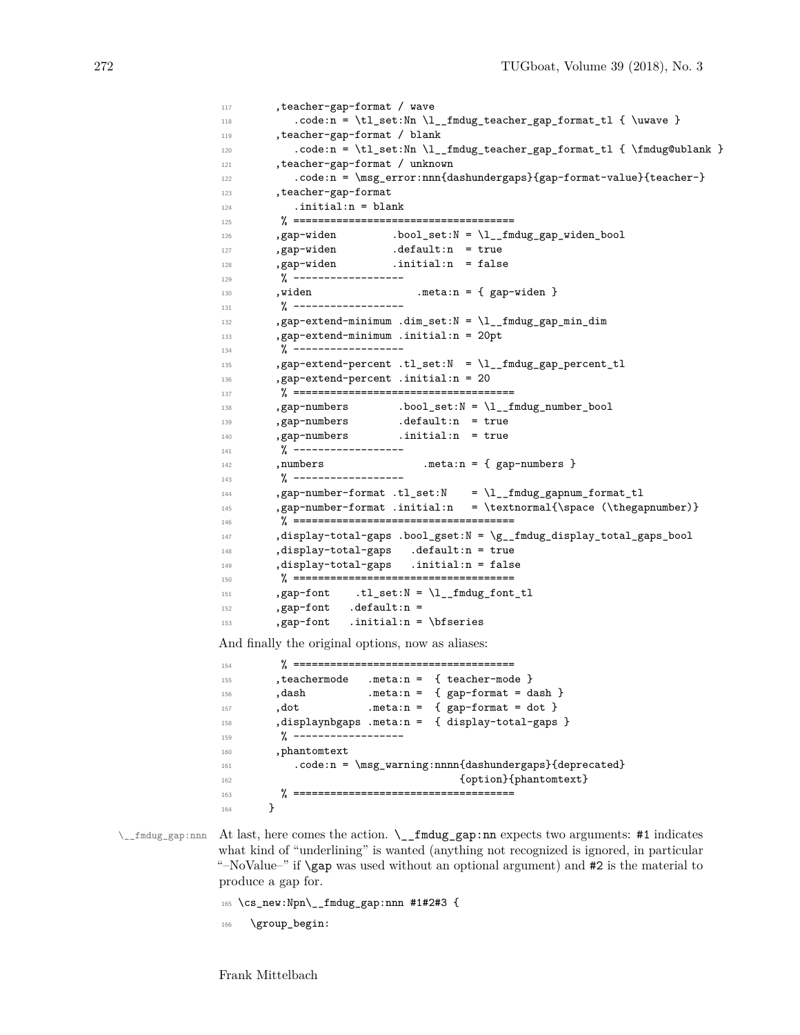```
117 , teacher-gap-format / wave
118 \hspace{20pt} \texttt{code:n = \tl{}_set:Nn \l{}___fmdug\_teacher_gap_format_tl { \uwave } }119 , teacher-gap-format / blank
120 .code:n = \tl_set:Nn \l__fmdug_teacher_gap_format_tl { \fmdug@ublank }
121 ,teacher-gap-format / unknown
122 .code:n = \msg_error:nnn{dashundergaps}{gap-format-value}{teacher-}
123 , teacher-gap-format
124 .initial:n = blank
125 % ====================================
126, gap-widen .bool_set:N = \l__fmdug_gap_widen_bool
127 , gap-widen .default:n = true
128 ,gap-widen .initial:n = false
129 % ------------------
130 , widen .meta:n = { gap-widen }
131 % ------------------
132 ,gap-extend-minimum .dim_set:N = \l__fmdug_gap_min_dim
133 ,gap-extend-minimum .initial:n = 20pt
134 % ------------------
135 ,gap-extend-percent .tl_set:N = \l__fmdug_gap_percent_tl
136 ,gap-extend-percent .initial:n = 20
137 % ====================================
138 , gap-numbers .bool_set:N = \lceil \frac{1}{1} \rceil findug_number_bool
139 , gap-numbers .default:n = true
140 ,gap-numbers .initial:n = true
141 % ------------------
142 , numbers .meta:n = { gap-numbers }
143 % ------------------
144 ,gap-number-format .tl_set:N = \l__fmdug_gapnum_format_tl
145 ,gap-number-format .initial:n = \textnormal{\space (\thegapnumber)}
146 % ====================================
147 ,display-total-gaps .bool_gset:N = \g__fmdug_display_total_gaps_bool
148 ,display-total-gaps .default:n = true
149 ,display-total-gaps .initial:n = false
150 % ====================================
\verb|151| , gapfont \verb|1_set:N = \l1_fmdug_font_t1|152 ,gap-font .default:n =
153 ,gap-font .initial:n = \bfseries
And finally the original options, now as aliases:
154 % ====================================
155 , teachermode .meta:n = { teacher-mode }
156 , dash .meta:n = { gap-format = dash }
157 , dot .meta:n = { gap-format = dot }
158 ,displaynbgaps .meta:n = { display-total-gaps }
\frac{9}{6} ----------
160 ,phantomtext
```

```
161 .code:n = \msg_warning:nnnn{dashundergaps}{deprecated}
162 {option}{phantomtext}
163 % ====================================
```
 $\_{\_frak{m}}$  At last, here comes the action.  $\_{\_frak{m}}$  fmdug gap:nn expects two arguments: #1 indicates what kind of "underlining" is wanted (anything not recognized is ignored, in particular "–NoValue–" if \gap was used without an optional argument) and #2 is the material to produce a gap for.

<sup>165</sup> \cs\_new:Npn\\_\_fmdug\_gap:nnn #1#2#3 {

\group\_begin:

164 **}**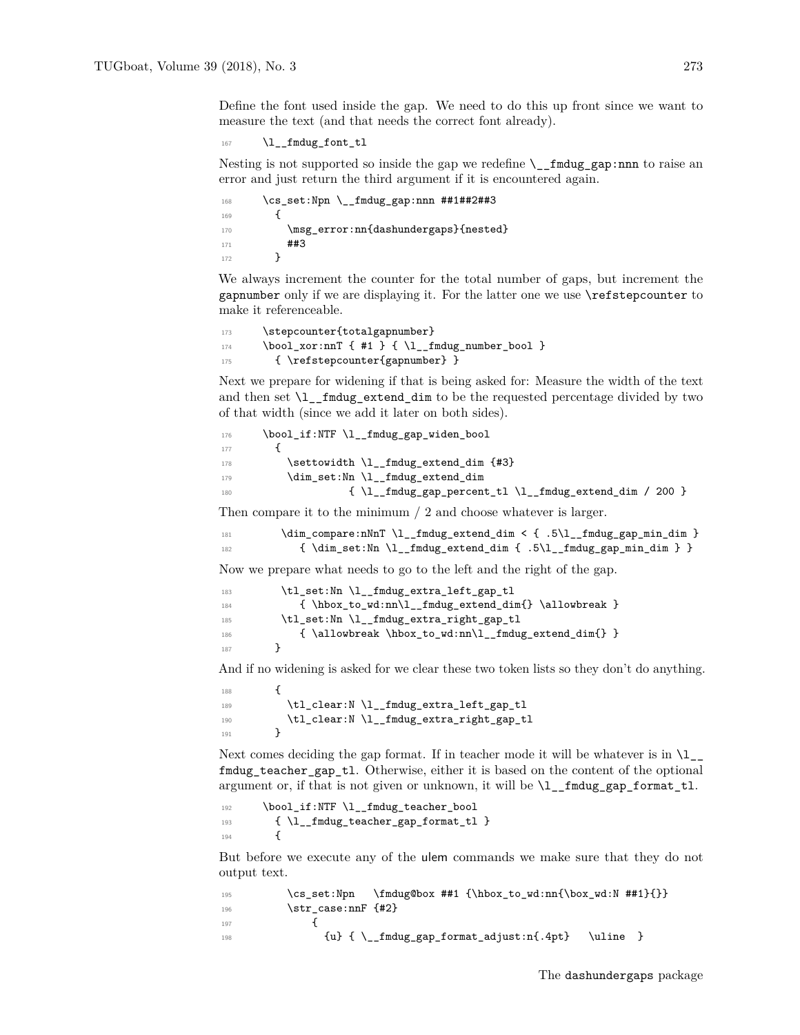Define the font used inside the gap. We need to do this up front since we want to measure the text (and that needs the correct font already).

```
167 \l__fmdug_font_tl
```
Nesting is not supported so inside the gap we redefine  $\_{_1}$  finding gap:nnn to raise an error and just return the third argument if it is encountered again.

```
168 \cs_set:Npn \__fmdug_gap:nnn ##1##2##3
169 {
170 \msg_error:nn{dashundergaps}{nested}
171 ##3
172 }
```
We always increment the counter for the total number of gaps, but increment the gapnumber only if we are displaying it. For the latter one we use \refstepcounter to make it referenceable.

```
173 \stepcounter{totalgapnumber}
\texttt{174} \qquad \texttt{\textbackslash} \texttt{bool\_xor:nnT} \ \{ \ \texttt{\#1 } \} \ \{ \ \texttt{\textbackslash} \texttt{l\_fmdug\_number\_bool} \ \}175 { \refstepcounter{gapnumber} }
```
Next we prepare for widening if that is being asked for: Measure the width of the text and then set  $\lceil$  fmdug extend dim to be the requested percentage divided by two of that width (since we add it later on both sides).

```
176 \bool_if:NTF \l__fmdug_gap_widen_bool
177 \qquad \qquad \qquad \qquad \qquad \qquad \qquad \qquad \qquad \qquad \qquad \qquad \qquad \qquad \qquad \qquad \qquad \qquad \qquad \qquad \qquad \qquad \qquad \qquad \qquad \qquad \qquad \qquad \qquad \qquad \qquad \qquad \qquad \qquad \qquad \qquad \178 \settowidth \l__fmdug_extend_dim {#3}
179 \dim_set:Nn \l__fmdug_extend_dim
180 \{ \lceil \text{Mod}_g \rceil \} \{ \lceil \text{Mod}_g \rceil \} \{ \lceil \text{Mod}_g \rceil \} \{ \lceil \text{Mod}_g \rceil \} \{ \lceil \text{Mod}_g \rceil \} \{ \lceil \text{Mod}_g \rceil \} \{ \lceil \text{Mod}_g \rceil \} \{ \lceil \text{Mod}_g \rceil \} \{ \lceil \text{Mod}_g \rceil \} \{ \lceil \text{Mod}_g \rceil \} \{ \lceil \text{Mod}_g \rceil \} \{ \lceil \text{
```
Then compare it to the minimum / 2 and choose whatever is larger.

```
181 \dim_compare:nNnT \l__fmdug_extend_dim < { .5\l__fmdug_gap_min_dim }
182 \{ \dim_s \setminus \lceil \frac{1}{m} \rceil \text{ mod } m \}
```
Now we prepare what needs to go to the left and the right of the gap.

```
183 \tl_set:Nn \l__fmdug_extra_left_gap_tl
184 { \hbox_to_wd:nn\l__fmdug_extend_dim{} \allowbreak }
185 \tl_set:Nn \l__fmdug_extra_right_gap_tl
186 { \allowbreak \hbox_to_wd:nn\l__fmdug_extend_dim{} }
187 }
```
And if no widening is asked for we clear these two token lists so they don't do anything.

```
188 {
189 \tl_clear:N \l__fmdug_extra_left_gap_tl
190 \tl_clear:N \l__fmdug_extra_right_gap_tl
191 }
```
Next comes deciding the gap format. If in teacher mode it will be whatever is in  $\lceil \cdot \rceil$ fmdug\_teacher\_gap\_tl. Otherwise, either it is based on the content of the optional argument or, if that is not given or unknown, it will be  $\lceil \cdot \rceil$  findug gap format tl.

```
192 \bool_if:NTF \l_fmdug_teacher_bool
193 { \lceil \cdot \rceil \l__fmdug_teacher_gap_format_tl }
194 {
```
But before we execute any of the ulem commands we make sure that they do not output text.

| 195 | \cs_set:Npn \fmdug@box ##1 {\hbox_to_wd:nn{\box_wd:N ##1}{}}      |
|-----|-------------------------------------------------------------------|
| 196 | \str case:nnF {#2}                                                |
| 197 |                                                                   |
| 198 | $\{u\}$ { $\_{f}$ mdug_gap_format_adjust:n{.4pt}<br><b>\uline</b> |